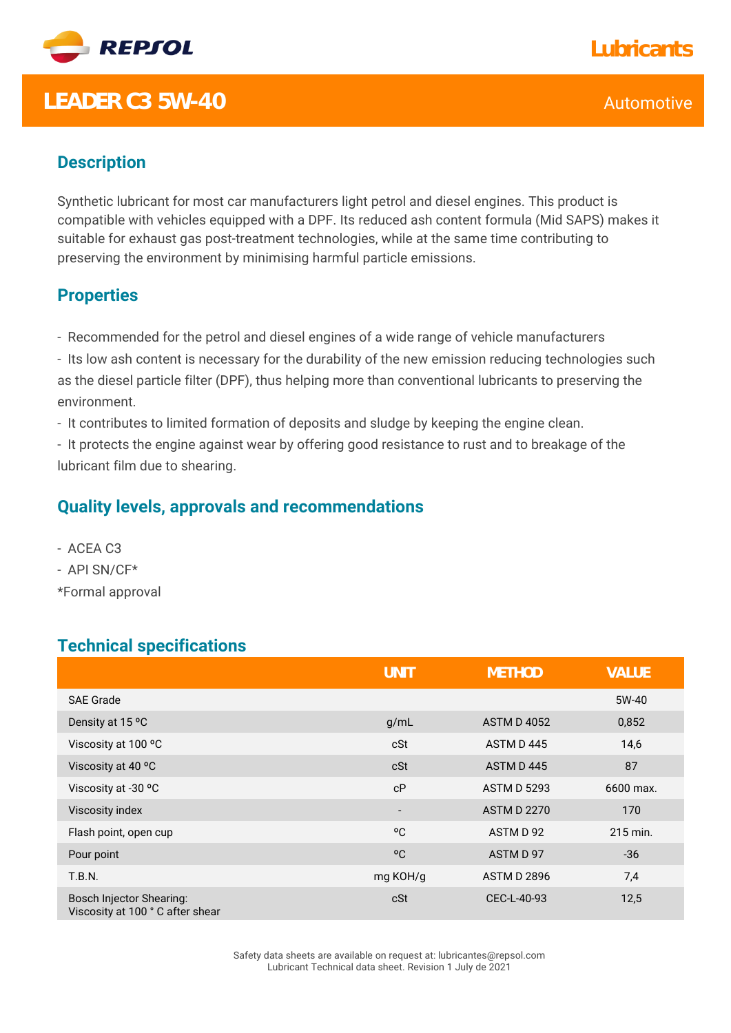

## **LEADER C3 5W-40** Automotive

### **Description**

Synthetic lubricant for most car manufacturers light petrol and diesel engines. This product is compatible with vehicles equipped with a DPF. Its reduced ash content formula (Mid SAPS) makes it suitable for exhaust gas post-treatment technologies, while at the same time contributing to preserving the environment by minimising harmful particle emissions.

#### **Properties**

- Recommended for the petrol and diesel engines of a wide range of vehicle manufacturers

- Its low ash content is necessary for the durability of the new emission reducing technologies such as the diesel particle filter (DPF), thus helping more than conventional lubricants to preserving the environment.

- It contributes to limited formation of deposits and sludge by keeping the engine clean.

- It protects the engine against wear by offering good resistance to rust and to breakage of the lubricant film due to shearing.

#### **Quality levels, approvals and recommendations**

- ACEA C3 - API SN/CF\*

\*Formal approval

#### **Technical specifications**

|                                                                    | <b>UNIT</b>              | <b>METHOD</b>      | <b>VALUE</b> |
|--------------------------------------------------------------------|--------------------------|--------------------|--------------|
| <b>SAE Grade</b>                                                   |                          |                    | 5W-40        |
| Density at 15 °C                                                   | g/mL                     | <b>ASTM D 4052</b> | 0,852        |
| Viscosity at 100 °C                                                | cSt                      | ASTM D445          | 14,6         |
| Viscosity at 40 °C                                                 | cSt                      | ASTM D445          | 87           |
| Viscosity at -30 °C                                                | cP                       | <b>ASTM D 5293</b> | 6600 max.    |
| Viscosity index                                                    | $\overline{\phantom{m}}$ | <b>ASTM D 2270</b> | 170          |
| Flash point, open cup                                              | °C                       | ASTM D 92          | 215 min.     |
| Pour point                                                         | °C                       | ASTM D 97          | $-36$        |
| T.B.N.                                                             | mg KOH/g                 | <b>ASTM D 2896</b> | 7,4          |
| <b>Bosch Injector Shearing:</b><br>Viscosity at 100 °C after shear | cSt                      | CEC-L-40-93        | 12,5         |